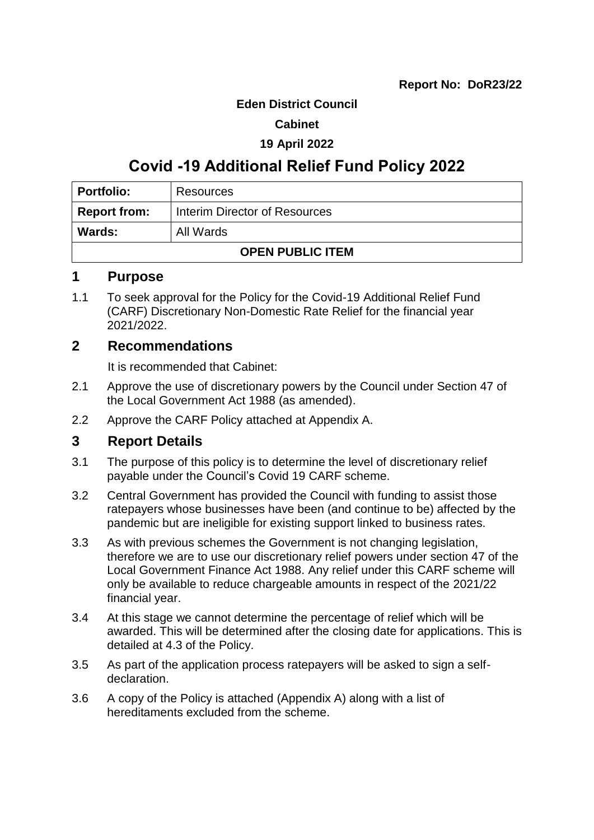#### **Eden District Council**

#### **Cabinet**

#### **19 April 2022**

## **Covid -19 Additional Relief Fund Policy 2022**

| <b>Portfolio:</b>       | Resources                     |  |
|-------------------------|-------------------------------|--|
| <b>Report from:</b>     | Interim Director of Resources |  |
| Wards:                  | All Wards                     |  |
| <b>OPEN PUBLIC ITEM</b> |                               |  |

## **1 Purpose**

1.1 To seek approval for the Policy for the Covid-19 Additional Relief Fund (CARF) Discretionary Non-Domestic Rate Relief for the financial year 2021/2022.

## **2 Recommendations**

It is recommended that Cabinet:

- 2.1 Approve the use of discretionary powers by the Council under Section 47 of the Local Government Act 1988 (as amended).
- 2.2 Approve the CARF Policy attached at Appendix A.

## **3 Report Details**

- 3.1 The purpose of this policy is to determine the level of discretionary relief payable under the Council's Covid 19 CARF scheme.
- 3.2 Central Government has provided the Council with funding to assist those ratepayers whose businesses have been (and continue to be) affected by the pandemic but are ineligible for existing support linked to business rates.
- 3.3 As with previous schemes the Government is not changing legislation, therefore we are to use our discretionary relief powers under section 47 of the Local Government Finance Act 1988. Any relief under this CARF scheme will only be available to reduce chargeable amounts in respect of the 2021/22 financial year.
- 3.4 At this stage we cannot determine the percentage of relief which will be awarded. This will be determined after the closing date for applications. This is detailed at 4.3 of the Policy.
- 3.5 As part of the application process ratepayers will be asked to sign a selfdeclaration.
- 3.6 A copy of the Policy is attached (Appendix A) along with a list of hereditaments excluded from the scheme.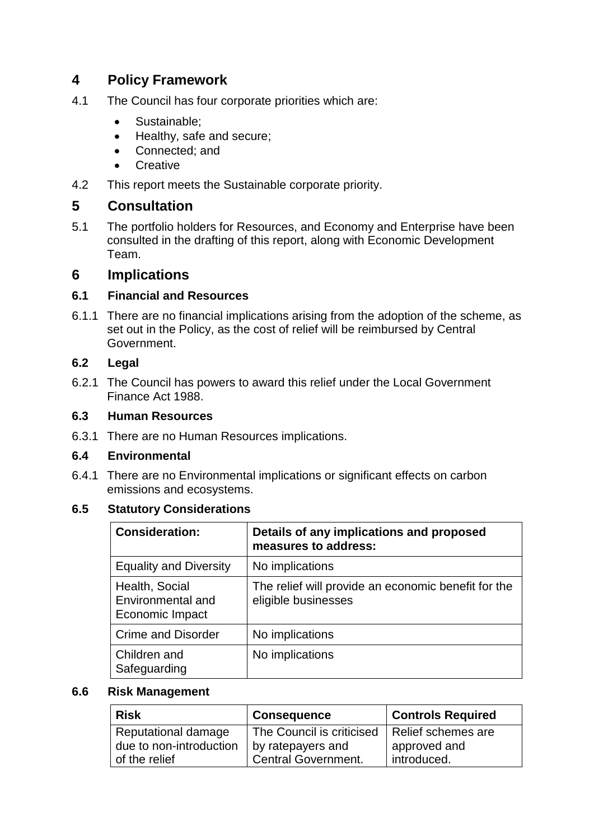## **4 Policy Framework**

- 4.1 The Council has four corporate priorities which are:
	- Sustainable:
	- Healthy, safe and secure;
	- Connected: and
	- **Creative**
- 4.2 This report meets the Sustainable corporate priority.

## **5 Consultation**

5.1 The portfolio holders for Resources, and Economy and Enterprise have been consulted in the drafting of this report, along with Economic Development Team.

## **6 Implications**

#### **6.1 Financial and Resources**

6.1.1 There are no financial implications arising from the adoption of the scheme, as set out in the Policy, as the cost of relief will be reimbursed by Central Government.

## **6.2 Legal**

6.2.1 The Council has powers to award this relief under the Local Government Finance Act 1988.

#### **6.3 Human Resources**

6.3.1 There are no Human Resources implications.

#### **6.4 Environmental**

6.4.1 There are no Environmental implications or significant effects on carbon emissions and ecosystems.

## **6.5 Statutory Considerations**

| <b>Consideration:</b>                                  | Details of any implications and proposed<br>measures to address:           |
|--------------------------------------------------------|----------------------------------------------------------------------------|
| <b>Equality and Diversity</b>                          | No implications                                                            |
| Health, Social<br>Environmental and<br>Economic Impact | The relief will provide an economic benefit for the<br>eligible businesses |
| <b>Crime and Disorder</b>                              | No implications                                                            |
| Children and<br>Safeguarding                           | No implications                                                            |

#### **6.6 Risk Management**

| <b>Risk</b>                                    | <b>Consequence</b>                             | <b>Controls Required</b>           |
|------------------------------------------------|------------------------------------------------|------------------------------------|
| Reputational damage<br>due to non-introduction | The Council is criticised<br>by ratepayers and | Relief schemes are<br>approved and |
| of the relief                                  | Central Government.                            | introduced.                        |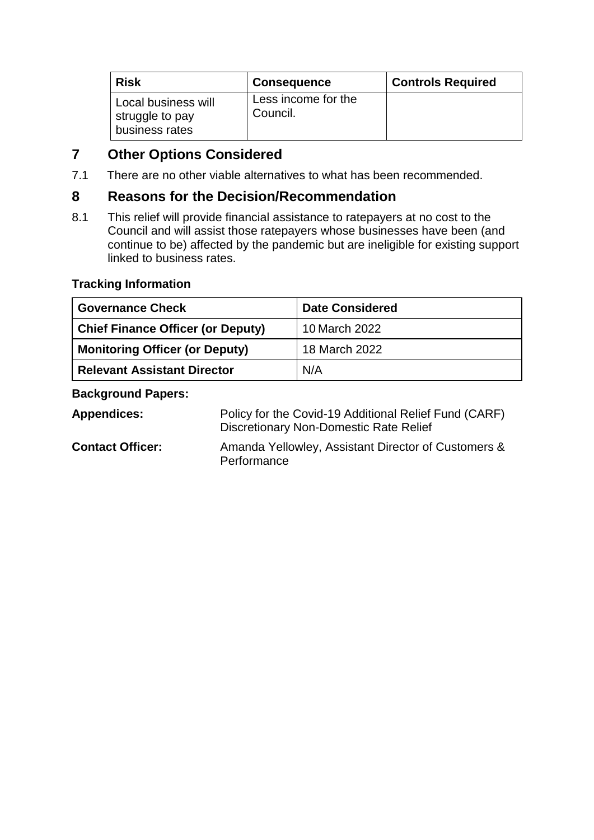| <b>Risk</b>                                              | <b>Consequence</b>              | <b>Controls Required</b> |
|----------------------------------------------------------|---------------------------------|--------------------------|
| Local business will<br>struggle to pay<br>business rates | Less income for the<br>Council. |                          |

## **7 Other Options Considered**

7.1 There are no other viable alternatives to what has been recommended.

## **8 Reasons for the Decision/Recommendation**

8.1 This relief will provide financial assistance to ratepayers at no cost to the Council and will assist those ratepayers whose businesses have been (and continue to be) affected by the pandemic but are ineligible for existing support linked to business rates.

## **Tracking Information**

| <b>Governance Check</b>                  | <b>Date Considered</b> |
|------------------------------------------|------------------------|
| <b>Chief Finance Officer (or Deputy)</b> | 10 March 2022          |
| <b>Monitoring Officer (or Deputy)</b>    | 18 March 2022          |
| <b>Relevant Assistant Director</b>       | N/A                    |

## **Background Papers:**

| <b>Appendices:</b>      | Policy for the Covid-19 Additional Relief Fund (CARF)<br>Discretionary Non-Domestic Rate Relief |
|-------------------------|-------------------------------------------------------------------------------------------------|
| <b>Contact Officer:</b> | Amanda Yellowley, Assistant Director of Customers &<br>Performance                              |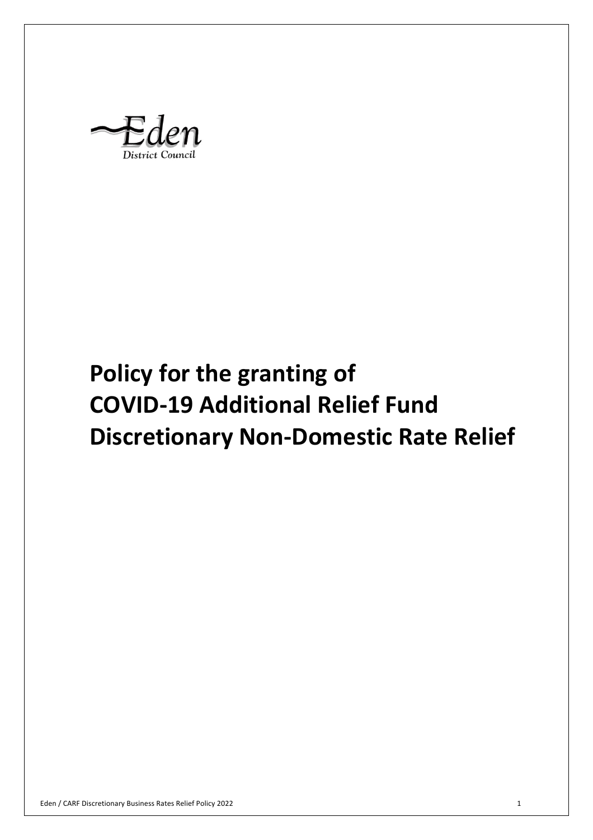District Counci

# **Discretionary Non-Domestic Rate Relief Policy for the granting of COVID-19 Additional Relief Fund**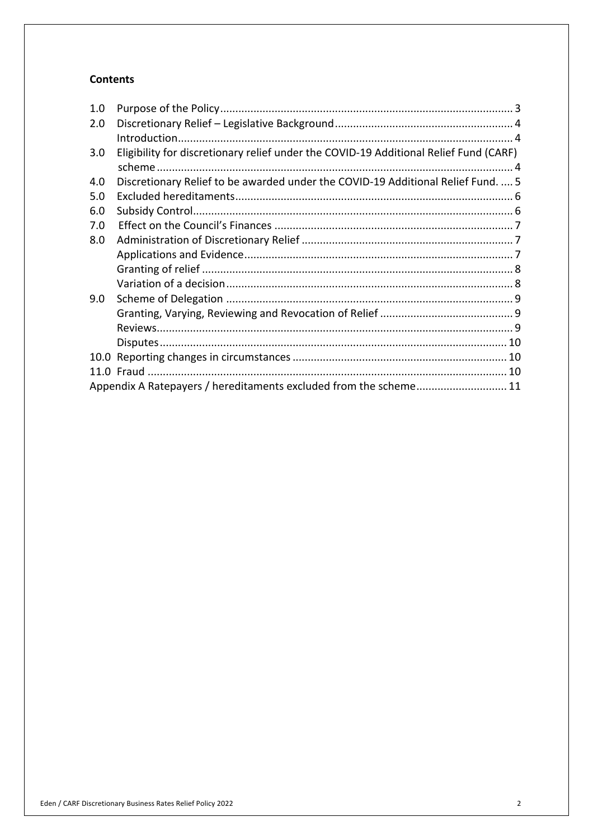#### **Contents**

| 1.0 |                                                                                       |  |
|-----|---------------------------------------------------------------------------------------|--|
| 2.0 |                                                                                       |  |
|     |                                                                                       |  |
| 3.0 | Eligibility for discretionary relief under the COVID-19 Additional Relief Fund (CARF) |  |
|     |                                                                                       |  |
| 4.0 | Discretionary Relief to be awarded under the COVID-19 Additional Relief Fund.  5      |  |
| 5.0 |                                                                                       |  |
| 6.0 |                                                                                       |  |
| 7.0 |                                                                                       |  |
| 8.0 |                                                                                       |  |
|     |                                                                                       |  |
|     |                                                                                       |  |
|     |                                                                                       |  |
| 9.0 |                                                                                       |  |
|     |                                                                                       |  |
|     |                                                                                       |  |
|     |                                                                                       |  |
|     |                                                                                       |  |
|     |                                                                                       |  |
|     | Appendix A Ratepayers / hereditaments excluded from the scheme 11                     |  |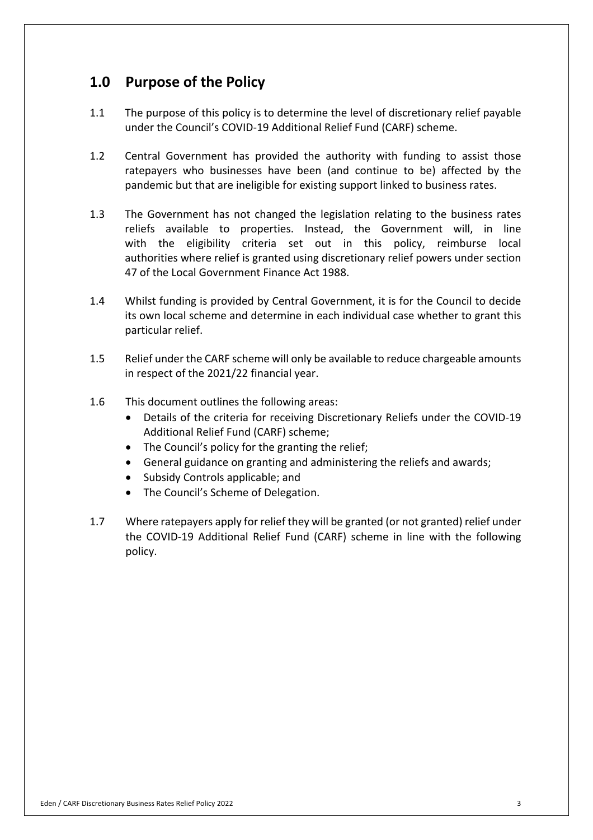## **1.0 Purpose of the Policy**

- $1.1$  under the Council's COVID-19 Additional Relief Fund (CARF) scheme. The purpose of this policy is to determine the level of discretionary relief payable
- $1.2$  ratepayers who businesses have been (and continue to be) affected by the pandemic but that are ineligible for existing support linked to business rates. Central Government has provided the authority with funding to assist those
- $1.3$  reliefs available to properties. Instead, the Government will, in line with the eligibility criteria set out in this policy, reimburse local authorities where relief is granted using discretionary relief powers under section 47 of the Local Government Finance Act 1988. The Government has not changed the legislation relating to the business rates
- 1.4 Whilst funding is provided by Central Government, it is for the Council to decide its own local scheme and determine in each individual case whether to grant this particular relief.
- $1.5$  in respect of the 2021/22 financial year. Relief under the CARF scheme will only be available to reduce chargeable amounts
- $1.6$ This document outlines the following areas:
	- • Details of the criteria for receiving Discretionary Reliefs under the COVID-19 Additional Relief Fund (CARF) scheme;
	- The Council's policy for the granting the relief;
	- General guidance on granting and administering the reliefs and awards;
	- Subsidy Controls applicable; and
	- The Council's Scheme of Delegation.
- 1.7 Where ratepayers apply for relief they will be granted (or not granted) relief under the COVID-19 Additional Relief Fund (CARF) scheme in line with the following policy.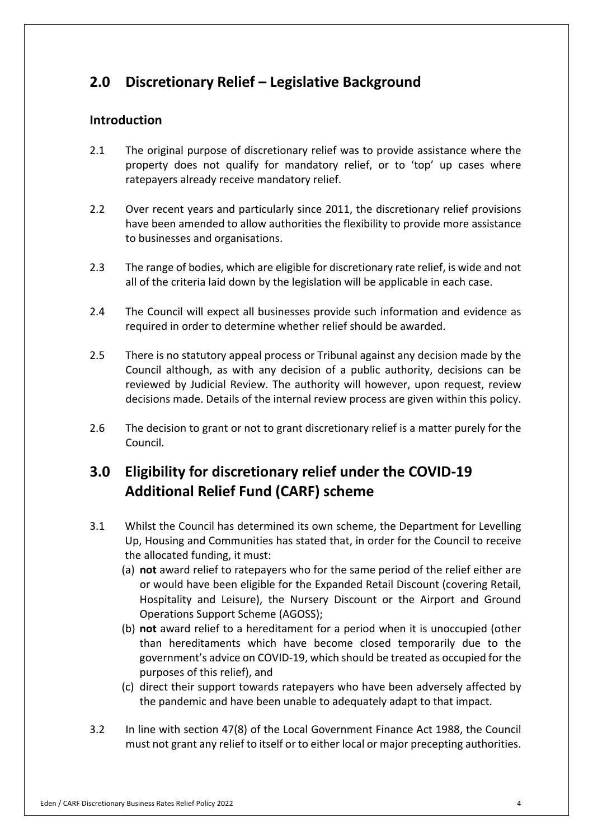## **2.0 Discretionary Relief – Legislative Background**

## **Introduction**

- $2.1$  property does not qualify for mandatory relief, or to 'top' up cases where ratepayers already receive mandatory relief. 2.1 The original purpose of discretionary relief was to provide assistance where the
- $2.2$  have been amended to allow authorities the flexibility to provide more assistance to businesses and organisations. Over recent years and particularly since 2011, the discretionary relief provisions
- $2.3$  all of the criteria laid down by the legislation will be applicable in each case. The range of bodies, which are eligible for discretionary rate relief, is wide and not
- $2.4$  required in order to determine whether relief should be awarded. The Council will expect all businesses provide such information and evidence as
- $2.5$  Council although, as with any decision of a public authority, decisions can be reviewed by Judicial Review. The authority will however, upon request, review decisions made. Details of the internal review process are given within this policy. 2.5 There is no statutory appeal process or Tribunal against any decision made by the
- $2.6$  Council. The decision to grant or not to grant discretionary relief is a matter purely for the

## **3.0 Eligibility for discretionary relief under the COVID-19 Additional Relief Fund (CARF) scheme**

- 3.1 Whilst the Council has determined its own scheme, the Department for Levelling Up, Housing and Communities has stated that, in order for the Council to receive the allocated funding, it must:
	- (a) **not** award relief to ratepayers who for the same period of the relief either are or would have been eligible for the Expanded Retail Discount (covering Retail, Hospitality and Leisure), the Nursery Discount or the Airport and Ground Operations Support Scheme (AGOSS);
	- (b) **not** award relief to a hereditament for a period when it is unoccupied (other than hereditaments which have become closed temporarily due to the government's advice on COVID-19, which should be treated as occupied for the purposes of this relief), and
	- (c) direct their support towards ratepayers who have been adversely affected by the pandemic and have been unable to adequately adapt to that impact.
- $3.2$  must not grant any relief to itself or to either local or major precepting authorities. 3.2 In line with section 47(8) of the Local Government Finance Act 1988, the Council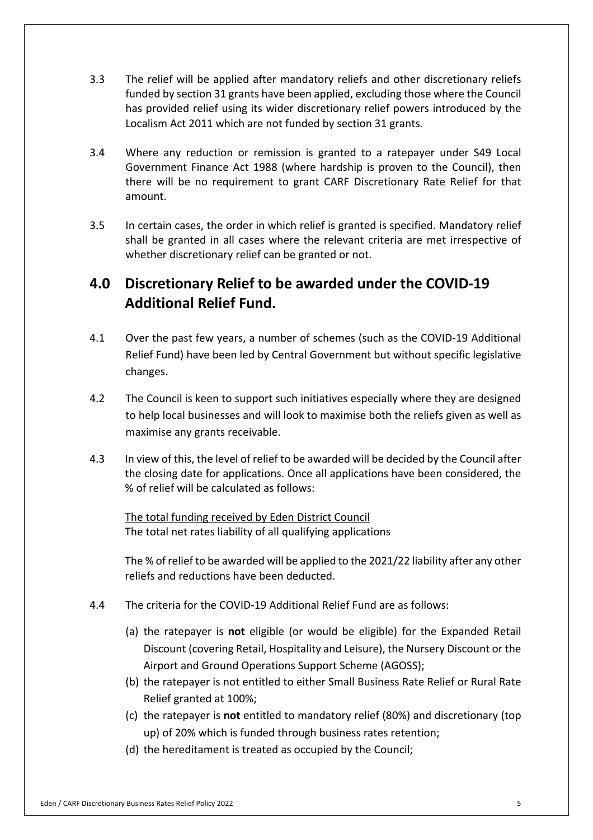- $3.3$  funded by section 31 grants have been applied, excluding those where the Council Localism Act 2011 which are not funded by section 31 grants. The relief will be applied after mandatory reliefs and other discretionary reliefs has provided relief using its wider discretionary relief powers introduced by the
- $3.4$  Government Finance Act 1988 (where hardship is proven to the Council), then there will be no requirement to grant CARF Discretionary Rate Relief for that amount. 3.4 Where any reduction or remission is granted to a ratepayer under S49 Local
- $3.5$  shall be granted in all cases where the relevant criteria are met irrespective of whether discretionary relief can be granted or not. In certain cases, the order in which relief is granted is specified. Mandatory relief

## **4.0 Discretionary Relief to be awarded under the COVID-19 Additional Relief Fund.**

- $4.1$  Relief Fund) have been led by Central Government but without specific legislative changes. Over the past few years, a number of schemes (such as the COVID-19 Additional
- $4.2$  to help local businesses and will look to maximise both the reliefs given as well as maximise any grants receivable. The Council is keen to support such initiatives especially where they are designed
- $4.3$  the closing date for applications. Once all applications have been considered, the % of relief will be calculated as follows: In view of this, the level of relief to be awarded will be decided by the Council after

 The total funding received by Eden District Council The total net rates liability of all qualifying applications

 reliefs and reductions have been deducted. The % of relief to be awarded will be applied to the 2021/22 liability after any other

- $4.4$ The criteria for the COVID-19 Additional Relief Fund are as follows:
	- (a) the ratepayer is **not** eligible (or would be eligible) for the Expanded Retail Discount (covering Retail, Hospitality and Leisure), the Nursery Discount or the Airport and Ground Operations Support Scheme (AGOSS);
	- (b) the ratepayer is not entitled to either Small Business Rate Relief or Rural Rate Relief granted at 100%;
	- (c) the ratepayer is **not** entitled to mandatory relief (80%) and discretionary (top up) of 20% which is funded through business rates retention;
	- (d) the hereditament is treated as occupied by the Council;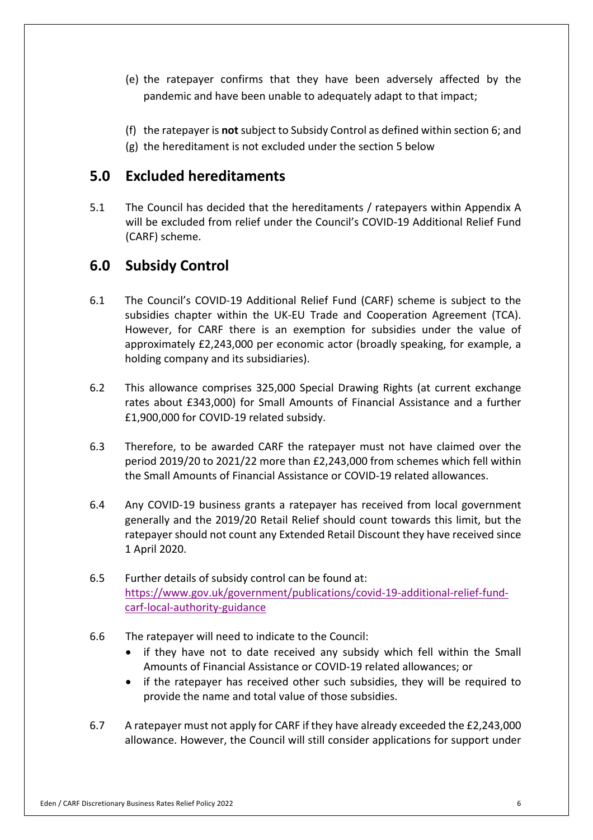- (e) the ratepayer confirms that they have been adversely affected by the pandemic and have been unable to adequately adapt to that impact;
- (f) the ratepayer is **not** subject to Subsidy Control as defined within section 6; and
- (g) the hereditament is not excluded under the section 5 below

## **5.0 Excluded hereditaments**

 $5.1$  will be excluded from relief under the Council's COVID-19 Additional Relief Fund (CARF) scheme. The Council has decided that the hereditaments / ratepayers within Appendix A

## **6.0 Subsidy Control**

- 6.1 The Council's COVID-19 Additional Relief Fund (CARF) scheme is subject to the subsidies chapter within the UK-EU Trade and Cooperation Agreement (TCA). However, for CARF there is an exemption for subsidies under the value of approximately £2,243,000 per economic actor (broadly speaking, for example, a holding company and its subsidiaries).
- $6.2$  rates about £343,000) for Small Amounts of Financial Assistance and a further £1,900,000 for COVID-19 related subsidy. This allowance comprises 325,000 Special Drawing Rights (at current exchange
- 6.3 Therefore, to be awarded CARF the ratepayer must not have claimed over the period 2019/20 to 2021/22 more than £2,243,000 from schemes which fell within the Small Amounts of Financial Assistance or COVID-19 related allowances.
- 6.4 Any COVID-19 business grants a ratepayer has received from local government generally and the 2019/20 Retail Relief should count towards this limit, but the ratepayer should not count any Extended Retail Discount they have received since 1 April 2020.
- $6.5$ carf-local-authority-guidance Further details of subsidy control can be found at: [https://www.gov.uk/government/publications/covid-19-additional-relief-fund-](https://www.gov.uk/government/publications/covid-19-additional-relief-fund)
- $6.6$ The ratepayer will need to indicate to the Council:
	- • if they have not to date received any subsidy which fell within the Small Amounts of Financial Assistance or COVID-19 related allowances; or
	- • if the ratepayer has received other such subsidies, they will be required to provide the name and total value of those subsidies.
- 6.7 allowance. However, the Council will still consider applications for support under 6.7 A ratepayer must not apply for CARF if they have already exceeded the £2,243,000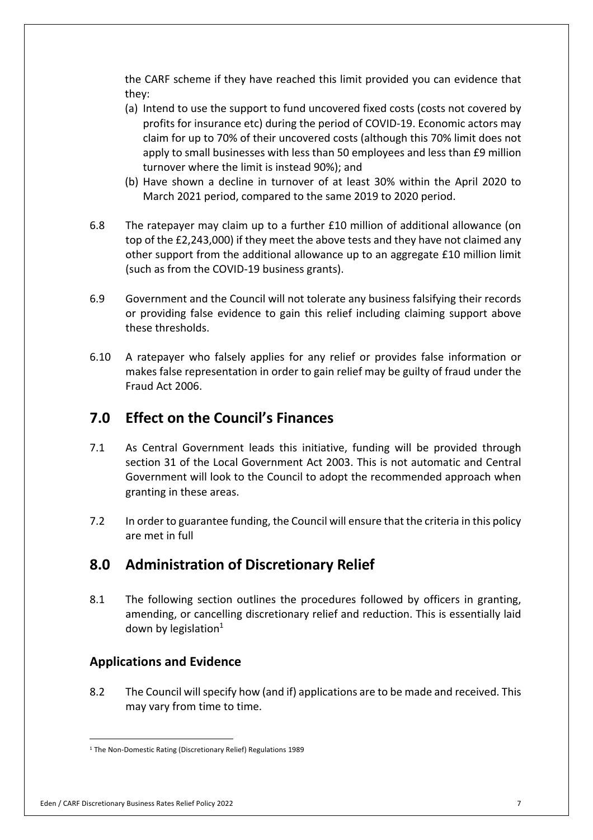the CARF scheme if they have reached this limit provided you can evidence that they:

- (a) Intend to use the support to fund uncovered fixed costs (costs not covered by profits for insurance etc) during the period of COVID-19. Economic actors may claim for up to 70% of their uncovered costs (although this 70% limit does not apply to small businesses with less than 50 employees and less than £9 million turnover where the limit is instead 90%); and
- (b) Have shown a decline in turnover of at least 30% within the April 2020 to March 2021 period, compared to the same 2019 to 2020 period.
- 6.8 top of the £2,243,000) if they meet the above tests and they have not claimed any other support from the additional allowance up to an aggregate £10 million limit (such as from the COVID-19 business grants). The ratepayer may claim up to a further £10 million of additional allowance (on
- 6.9 Government and the Council will not tolerate any business falsifying their records or providing false evidence to gain this relief including claiming support above these thresholds.
- $6.10$  makes false representation in order to gain relief may be guilty of fraud under the Fraud Act 2006. 6.10 A ratepayer who falsely applies for any relief or provides false information or

## **7.0 Effect on the Council's Finances**

- 7.1 As Central Government leads this initiative, funding will be provided through section 31 of the Local Government Act 2003. This is not automatic and Central Government will look to the Council to adopt the recommended approach when granting in these areas.
- $7.2$  are met in full In order to guarantee funding, the Council will ensure that the criteria in this policy

## **8.0 Administration of Discretionary Relief**

 $8.1$  amending, or cancelling discretionary relief and reduction. This is essentially laid down by legislation $1$ The following section outlines the procedures followed by officers in granting,

## **Applications and Evidence**

 8.2 The Council will specify how (and if) applications are to be made and received. This may vary from time to time.

#### Eden / CARF Discretionary Business Rates Relief Policy 2022 7

<sup>&</sup>lt;sup>1</sup> The Non-Domestic Rating (Discretionary Relief) Regulations 1989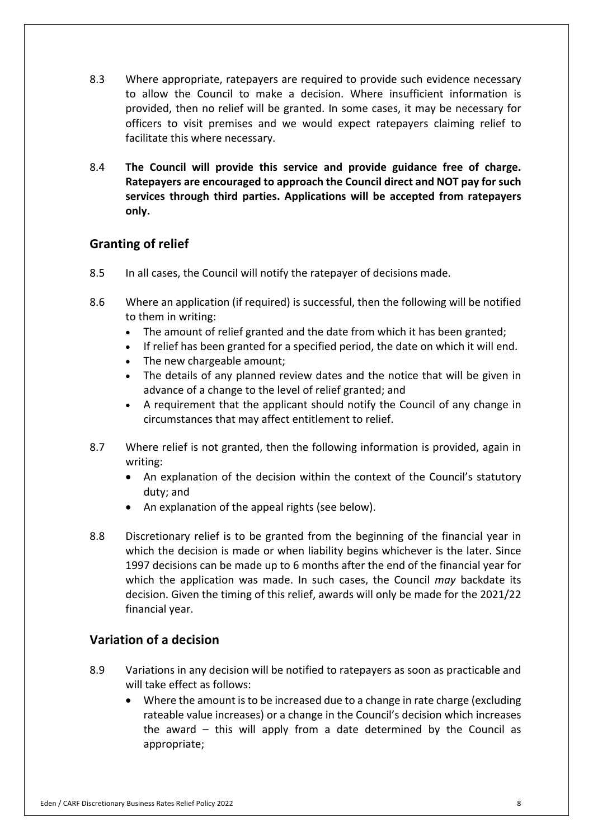- $8.3$  to allow the Council to make a decision. Where insufficient information is provided, then no relief will be granted. In some cases, it may be necessary for officers to visit premises and we would expect ratepayers claiming relief to facilitate this where necessary. Where appropriate, ratepayers are required to provide such evidence necessary
- 8.4 **The Council will provide this service and provide guidance free of charge. Ratepayers are encouraged to approach the Council direct and NOT pay for such services through third parties. Applications will be accepted from ratepayers only.**

## **Granting of relief**

- 8.5 In all cases, the Council will notify the ratepayer of decisions made.
- $8.6$  to them in writing: Where an application (if required) is successful, then the following will be notified
	- The amount of relief granted and the date from which it has been granted;
	- If relief has been granted for a specified period, the date on which it will end.
	- The new chargeable amount;
	- • The details of any planned review dates and the notice that will be given in advance of a change to the level of relief granted; and
	- • A requirement that the applicant should notify the Council of any change in circumstances that may affect entitlement to relief.
- 8.7 Where relief is not granted, then the following information is provided, again in writing:
	- • An explanation of the decision within the context of the Council's statutory duty; and
	- An explanation of the appeal rights (see below).
- 8.8 Discretionary relief is to be granted from the beginning of the financial year in which the decision is made or when liability begins whichever is the later. Since 1997 decisions can be made up to 6 months after the end of the financial year for which the application was made. In such cases, the Council *may* backdate its decision. Given the timing of this relief, awards will only be made for the 2021/22 financial year.

## **Variation of a decision**

- 8.9 Variations in any decision will be notified to ratepayers as soon as practicable and will take effect as follows:
	- • Where the amount is to be increased due to a change in rate charge (excluding rateable value increases) or a change in the Council's decision which increases the award – this will apply from a date determined by the Council as appropriate;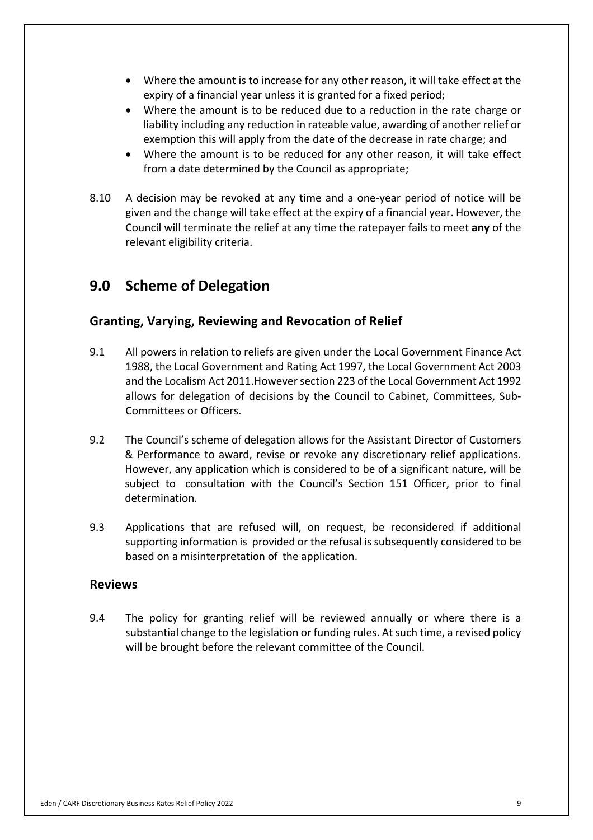- • Where the amount is to increase for any other reason, it will take effect at the expiry of a financial year unless it is granted for a fixed period;
- • Where the amount is to be reduced due to a reduction in the rate charge or liability including any reduction in rateable value, awarding of another relief or exemption this will apply from the date of the decrease in rate charge; and
- • Where the amount is to be reduced for any other reason, it will take effect from a date determined by the Council as appropriate;
- 8.10 given and the change will take effect at the expiry of a financial year. However, the Council will terminate the relief at any time the ratepayer fails to meet **any** of the relevant eligibility criteria. A decision may be revoked at any time and a one-year period of notice will be

## **9.0 Scheme of Delegation**

## **Granting, Varying, Reviewing and Revocation of Relief**

- $9.1$  1988, the Local Government and Rating Act 1997, the Local Government Act 2003 and the Localism Act 2011.However section 223 of the Local Government Act 1992 allows for delegation of decisions by the Council to Cabinet, Committees, Sub- Committees or Officers. 9.1 All powers in relation to reliefs are given under the Local Government Finance Act
- 9.2 The Council's scheme of delegation allows for the Assistant Director of Customers & Performance to award, revise or revoke any discretionary relief applications. However, any application which is considered to be of a significant nature, will be subject to consultation with the Council's Section 151 Officer, prior to final determination.
- 9.3 Applications that are refused will, on request, be reconsidered if additional supporting information is provided or the refusal is subsequently considered to be based on a misinterpretation of the application.

#### **Reviews**

9.4 substantial change to the legislation or funding rules. At such time, a revised policy will be brought before the relevant committee of the Council. The policy for granting relief will be reviewed annually or where there is a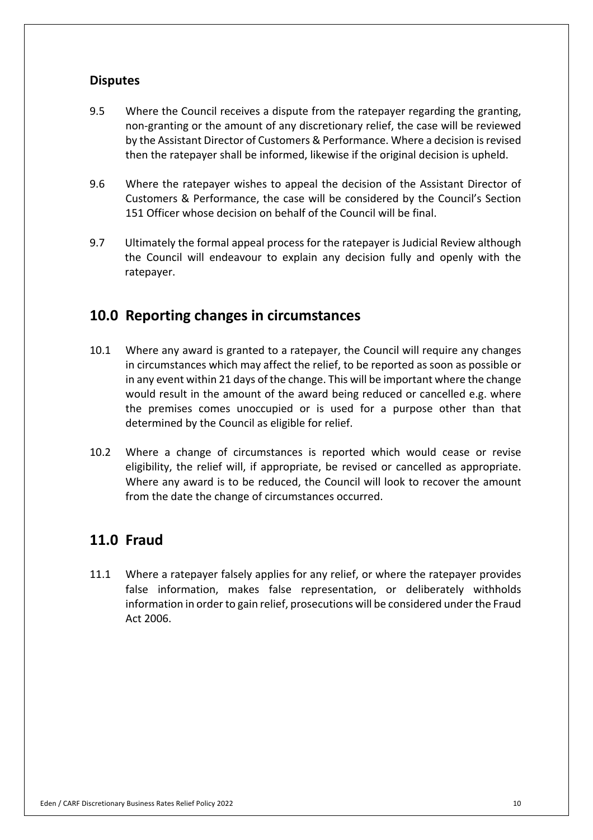## **Disputes**

- $9.5$  non-granting or the amount of any discretionary relief, the case will be reviewed by the Assistant Director of Customers & Performance. Where a decision is revised then the ratepayer shall be informed, likewise if the original decision is upheld. Where the Council receives a dispute from the ratepayer regarding the granting,
- 9.6 Customers & Performance, the case will be considered by the Council's Section 151 Officer whose decision on behalf of the Council will be final. Where the ratepayer wishes to appeal the decision of the Assistant Director of
- 9.7 Ultimately the formal appeal process for the ratepayer is Judicial Review although the Council will endeavour to explain any decision fully and openly with the ratepayer.

## **10.0 Reporting changes in circumstances**

- $10.1$  in circumstances which may affect the relief, to be reported as soon as possible or in any event within 21 days of the change. This will be important where the change would result in the amount of the award being reduced or cancelled e.g. where the premises comes unoccupied or is used for a purpose other than that determined by the Council as eligible for relief. Where any award is granted to a ratepayer, the Council will require any changes
- $10.2$  eligibility, the relief will, if appropriate, be revised or cancelled as appropriate. Where any award is to be reduced, the Council will look to recover the amount from the date the change of circumstances occurred. Where a change of circumstances is reported which would cease or revise

## **11.0 Fraud**

 $11.1$  false information, makes false representation, or deliberately withholds information in order to gain relief, prosecutions will be considered under the Fraud Act 2006. Where a ratepayer falsely applies for any relief, or where the ratepayer provides Act 2006.<br>Eden / CARF Discretionary Business Rates Relief Policy 2022<br>10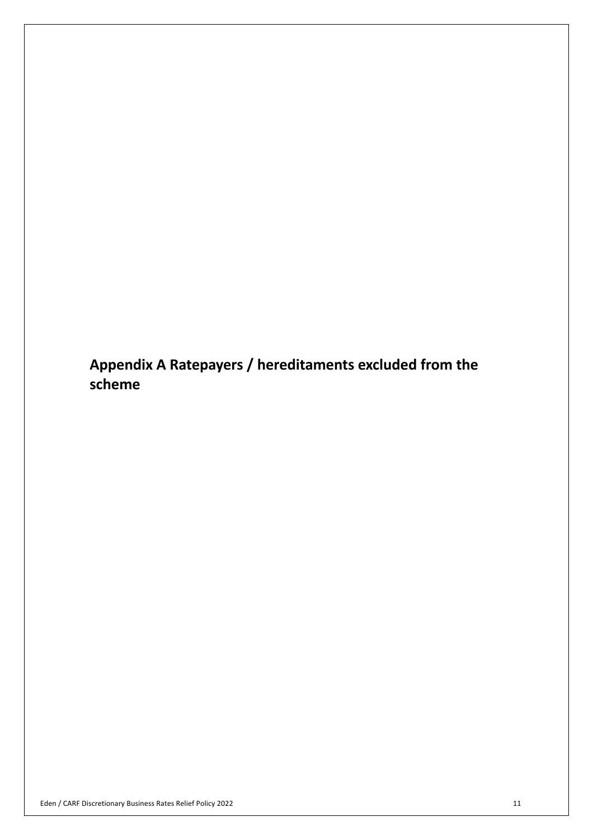**Appendix A Ratepayers / hereditaments excluded from the scheme**